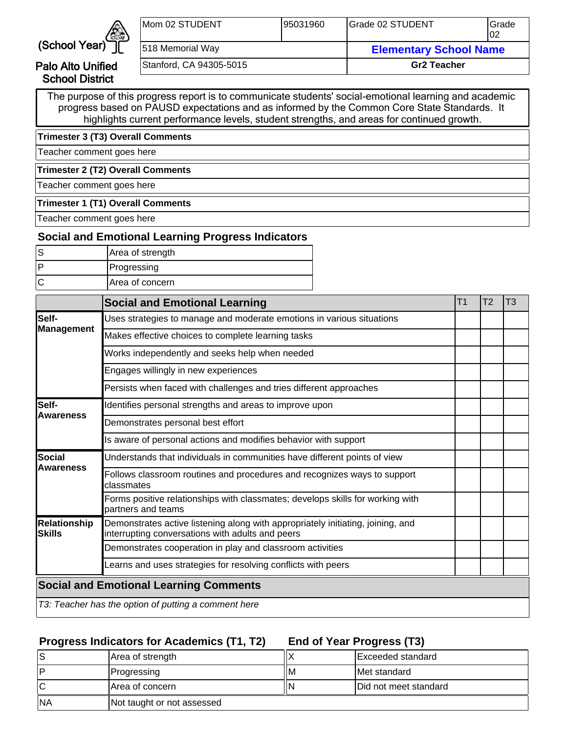

Palo Alto Unified School District

| Mom 02 STUDENT   |                         | 195031960                     | Grade 02 STUDENT   | <b>I</b> Grade<br>102 |
|------------------|-------------------------|-------------------------------|--------------------|-----------------------|
| 518 Memorial Way |                         | <b>Elementary School Name</b> |                    |                       |
|                  | Stanford, CA 94305-5015 |                               | <b>Gr2 Teacher</b> |                       |

The purpose of this progress report is to communicate students' social-emotional learning and academic progress based on PAUSD expectations and as informed by the Common Core State Standards. It highlights current performance levels, student strengths, and areas for continued growth.

**Trimester 3 (T3) Overall Comments**

Teacher comment goes here

**Trimester 2 (T2) Overall Comments**

Teacher comment goes here

#### **Trimester 1 (T1) Overall Comments**

Teacher comment goes here

## **Social and Emotional Learning Progress Indicators**

| Area of strength       |
|------------------------|
| Progressing            |
| <b>Area of concern</b> |

|                               | <b>Social and Emotional Learning</b>                                                                                                | T1 | T <sub>2</sub> | T3 |
|-------------------------------|-------------------------------------------------------------------------------------------------------------------------------------|----|----------------|----|
| Self-                         | Uses strategies to manage and moderate emotions in various situations                                                               |    |                |    |
| Management                    | Makes effective choices to complete learning tasks                                                                                  |    |                |    |
|                               | Works independently and seeks help when needed                                                                                      |    |                |    |
|                               | Engages willingly in new experiences                                                                                                |    |                |    |
|                               | Persists when faced with challenges and tries different approaches                                                                  |    |                |    |
| lSelf-                        | Identifies personal strengths and areas to improve upon                                                                             |    |                |    |
| <b>Awareness</b>              | Demonstrates personal best effort                                                                                                   |    |                |    |
|                               | Is aware of personal actions and modifies behavior with support                                                                     |    |                |    |
| lSocial                       | Understands that individuals in communities have different points of view                                                           |    |                |    |
| <b>Awareness</b>              | Follows classroom routines and procedures and recognizes ways to support<br>classmates                                              |    |                |    |
|                               | Forms positive relationships with classmates; develops skills for working with<br>partners and teams                                |    |                |    |
| <b>Relationship</b><br>Skills | Demonstrates active listening along with appropriately initiating, joining, and<br>interrupting conversations with adults and peers |    |                |    |
|                               | Demonstrates cooperation in play and classroom activities                                                                           |    |                |    |
|                               | Learns and uses strategies for resolving conflicts with peers                                                                       |    |                |    |
|                               | <b>Social and Emotional Learning Comments</b>                                                                                       |    |                |    |
|                               | T3: Teacher has the option of putting a comment here                                                                                |    |                |    |

### **Progress Indicators for Academics (T1, T2)**

**End of Year Progress (T3)**

| lS        | Area of strength           |    | IExceeded standard            |
|-----------|----------------------------|----|-------------------------------|
| D         | <b>Progressing</b>         | ΙM | IMet standard                 |
| ΙC        | <b>Area of concern</b>     | N  | <b>IDid not meet standard</b> |
| <b>NA</b> | Not taught or not assessed |    |                               |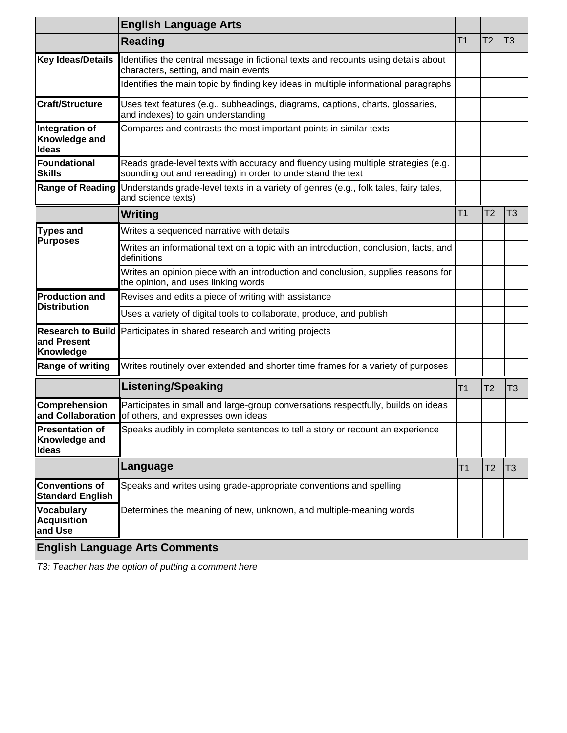|                                                    | <b>English Language Arts</b>                                                                                                                     |                |                |                |
|----------------------------------------------------|--------------------------------------------------------------------------------------------------------------------------------------------------|----------------|----------------|----------------|
|                                                    | <b>Reading</b>                                                                                                                                   | T1             | T <sub>2</sub> | T <sub>3</sub> |
| Key Ideas/Details                                  | Identifies the central message in fictional texts and recounts using details about<br>characters, setting, and main events                       |                |                |                |
|                                                    | Identifies the main topic by finding key ideas in multiple informational paragraphs                                                              |                |                |                |
| <b>Craft/Structure</b>                             | Uses text features (e.g., subheadings, diagrams, captions, charts, glossaries,<br>and indexes) to gain understanding                             |                |                |                |
| Integration of<br>Knowledge and<br>Ideas           | Compares and contrasts the most important points in similar texts                                                                                |                |                |                |
| Foundational<br><b>Skills</b>                      | Reads grade-level texts with accuracy and fluency using multiple strategies (e.g.<br>sounding out and rereading) in order to understand the text |                |                |                |
| <b>Range of Reading</b>                            | Understands grade-level texts in a variety of genres (e.g., folk tales, fairy tales,<br>and science texts)                                       |                |                |                |
|                                                    | Writing                                                                                                                                          | T <sub>1</sub> | T <sub>2</sub> | T <sub>3</sub> |
| <b>Types and</b>                                   | Writes a sequenced narrative with details                                                                                                        |                |                |                |
| <b>Purposes</b>                                    | Writes an informational text on a topic with an introduction, conclusion, facts, and<br>definitions                                              |                |                |                |
|                                                    | Writes an opinion piece with an introduction and conclusion, supplies reasons for<br>the opinion, and uses linking words                         |                |                |                |
| <b>Production and</b><br><b>Distribution</b>       | Revises and edits a piece of writing with assistance                                                                                             |                |                |                |
|                                                    | Uses a variety of digital tools to collaborate, produce, and publish                                                                             |                |                |                |
| and Present<br>Knowledge                           | Research to Build Participates in shared research and writing projects                                                                           |                |                |                |
| <b>Range of writing</b>                            | Writes routinely over extended and shorter time frames for a variety of purposes                                                                 |                |                |                |
|                                                    | <b>Listening/Speaking</b>                                                                                                                        | T <sub>1</sub> | T2             | T <sub>3</sub> |
| <b>Comprehension</b><br>and Collaboration          | Participates in small and large-group conversations respectfully, builds on ideas<br>of others, and expresses own ideas                          |                |                |                |
| Presentation of<br>Knowledge and<br><b>Ideas</b>   | Speaks audibly in complete sentences to tell a story or recount an experience                                                                    |                |                |                |
|                                                    | Language                                                                                                                                         | T1             | T2             | T <sub>3</sub> |
| <b>Conventions of</b><br><b>Standard English</b>   | Speaks and writes using grade-appropriate conventions and spelling                                                                               |                |                |                |
| <b>Vocabulary</b><br><b>Acquisition</b><br>and Use | Determines the meaning of new, unknown, and multiple-meaning words                                                                               |                |                |                |
|                                                    | <b>English Language Arts Comments</b>                                                                                                            |                |                |                |
|                                                    | T3: Teacher has the option of putting a comment here                                                                                             |                |                |                |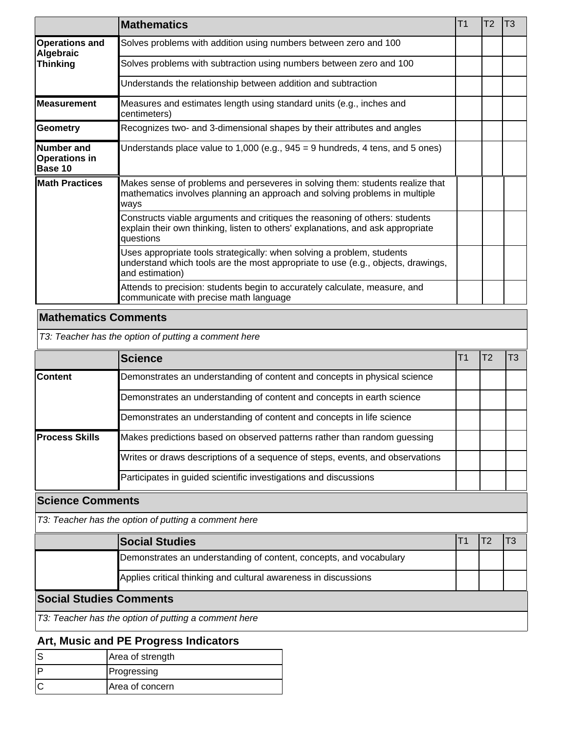|                                               | <b>Mathematics</b>                                                                                                                                                            | T <sub>1</sub> | T <sub>2</sub> | T <sub>3</sub> |
|-----------------------------------------------|-------------------------------------------------------------------------------------------------------------------------------------------------------------------------------|----------------|----------------|----------------|
| <b>Operations and</b><br>Algebraic            | Solves problems with addition using numbers between zero and 100                                                                                                              |                |                |                |
| <b>Thinking</b>                               | Solves problems with subtraction using numbers between zero and 100                                                                                                           |                |                |                |
|                                               | Understands the relationship between addition and subtraction                                                                                                                 |                |                |                |
| Measurement                                   | Measures and estimates length using standard units (e.g., inches and<br>centimeters)                                                                                          |                |                |                |
| Geometry                                      | Recognizes two- and 3-dimensional shapes by their attributes and angles                                                                                                       |                |                |                |
| Number and<br><b>Operations in</b><br>Base 10 | Understands place value to 1,000 (e.g., $945 = 9$ hundreds, 4 tens, and 5 ones)                                                                                               |                |                |                |
| <b>Math Practices</b>                         | Makes sense of problems and perseveres in solving them: students realize that<br>mathematics involves planning an approach and solving problems in multiple<br>ways           |                |                |                |
|                                               | Constructs viable arguments and critiques the reasoning of others: students<br>explain their own thinking, listen to others' explanations, and ask appropriate<br>questions   |                |                |                |
|                                               | Uses appropriate tools strategically: when solving a problem, students<br>understand which tools are the most appropriate to use (e.g., objects, drawings,<br>and estimation) |                |                |                |
|                                               | Attends to precision: students begin to accurately calculate, measure, and<br>communicate with precise math language                                                          |                |                |                |

# **Mathematics Comments**

T3: Teacher has the option of putting a comment here

|                       | <b>Science</b>                                                                |  |  |
|-----------------------|-------------------------------------------------------------------------------|--|--|
| <b>Content</b>        | Demonstrates an understanding of content and concepts in physical science     |  |  |
|                       | Demonstrates an understanding of content and concepts in earth science        |  |  |
|                       | Demonstrates an understanding of content and concepts in life science         |  |  |
| <b>Process Skills</b> | Makes predictions based on observed patterns rather than random guessing      |  |  |
|                       | Writes or draws descriptions of a sequence of steps, events, and observations |  |  |
|                       | Participates in guided scientific investigations and discussions              |  |  |

**Science Comments**

T3: Teacher has the option of putting a comment here

|                                | <b>Social Studies</b>                                              |  |  |  |  |  |
|--------------------------------|--------------------------------------------------------------------|--|--|--|--|--|
|                                | Demonstrates an understanding of content, concepts, and vocabulary |  |  |  |  |  |
|                                | Applies critical thinking and cultural awareness in discussions    |  |  |  |  |  |
| <b>Social Studies Comments</b> |                                                                    |  |  |  |  |  |

T3: Teacher has the option of putting a comment here

## **Art, Music and PE Progress Indicators**

| Area of strength |
|------------------|
| Progressing      |
| IArea of concern |